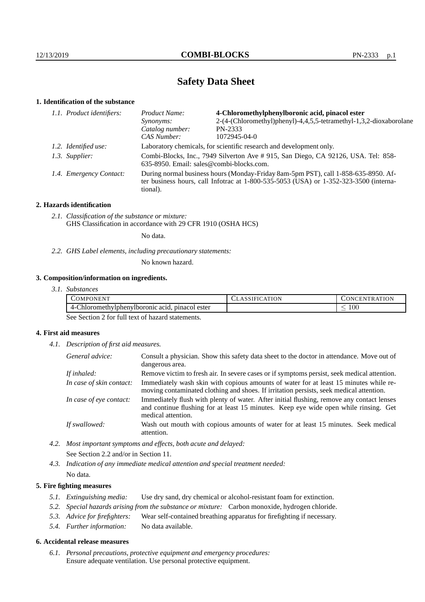# **Safety Data Sheet**

### **1. Identification of the substance**

| 1.1. Product identifiers:<br>Product Name: |                         | 4-Chloromethylphenylboronic acid, pinacol ester                                                                                                                                             |                                                                    |
|--------------------------------------------|-------------------------|---------------------------------------------------------------------------------------------------------------------------------------------------------------------------------------------|--------------------------------------------------------------------|
|                                            |                         | Synonyms:                                                                                                                                                                                   | 2-(4-(Chloromethyl)phenyl)-4,4,5,5-tetramethyl-1,3,2-dioxaborolane |
|                                            |                         | Catalog number:                                                                                                                                                                             | PN-2333                                                            |
|                                            |                         | CAS Number:                                                                                                                                                                                 | 1072945-04-0                                                       |
|                                            | 1.2. Identified use:    | Laboratory chemicals, for scientific research and development only.                                                                                                                         |                                                                    |
|                                            | 1.3. Supplier:          | Combi-Blocks, Inc., 7949 Silverton Ave # 915, San Diego, CA 92126, USA. Tel: 858-<br>$635-8950$ . Email: sales@combi-blocks.com.                                                            |                                                                    |
|                                            | 1.4. Emergency Contact: | During normal business hours (Monday-Friday 8am-5pm PST), call 1-858-635-8950. Af-<br>ter business hours, call Infotrac at $1-800-535-5053$ (USA) or $1-352-323-3500$ (interna-<br>tional). |                                                                    |
|                                            |                         |                                                                                                                                                                                             |                                                                    |

### **2. Hazards identification**

*2.1. Classification of the substance or mixture:* GHS Classification in accordance with 29 CFR 1910 (OSHA HCS)

No data.

*2.2. GHS Label elements, including precautionary statements:*

No known hazard.

## **3. Composition/information on ingredients.**

| 3.1. Substances |  |
|-----------------|--|
|                 |  |

| COMPONENT!                                      | <b>TION</b><br>'SIFR.<br>A <sub>1</sub> | TR ATION<br>CONC<br>'HN |
|-------------------------------------------------|-----------------------------------------|-------------------------|
| 4-Chloromethylphenylboronic acid, pinacol ester |                                         | $100^{\circ}$           |

See Section 2 for full text of hazard statements.

## **4. First aid measures**

*4.1. Description of first aid measures.*

| General advice:          | Consult a physician. Show this safety data sheet to the doctor in attendance. Move out of<br>dangerous area.                                                                                            |
|--------------------------|---------------------------------------------------------------------------------------------------------------------------------------------------------------------------------------------------------|
| If inhaled:              | Remove victim to fresh air. In severe cases or if symptoms persist, seek medical attention.                                                                                                             |
| In case of skin contact: | Immediately wash skin with copious amounts of water for at least 15 minutes while re-<br>moving contaminated clothing and shoes. If irritation persists, seek medical attention.                        |
| In case of eye contact:  | Immediately flush with plenty of water. After initial flushing, remove any contact lenses<br>and continue flushing for at least 15 minutes. Keep eye wide open while rinsing. Get<br>medical attention. |
| If swallowed:            | Wash out mouth with copious amounts of water for at least 15 minutes. Seek medical<br>attention.                                                                                                        |

*4.2. Most important symptoms and effects, both acute and delayed:* See Section 2.2 and/or in Section 11.

*4.3. Indication of any immediate medical attention and special treatment needed:* No data.

### **5. Fire fighting measures**

- *5.1. Extinguishing media:* Use dry sand, dry chemical or alcohol-resistant foam for extinction.
- *5.2. Special hazards arising from the substance or mixture:* Carbon monoxide, hydrogen chloride.
- *5.3. Advice for firefighters:* Wear self-contained breathing apparatus for firefighting if necessary.
- *5.4. Further information:* No data available.

### **6. Accidental release measures**

*6.1. Personal precautions, protective equipment and emergency procedures:* Ensure adequate ventilation. Use personal protective equipment.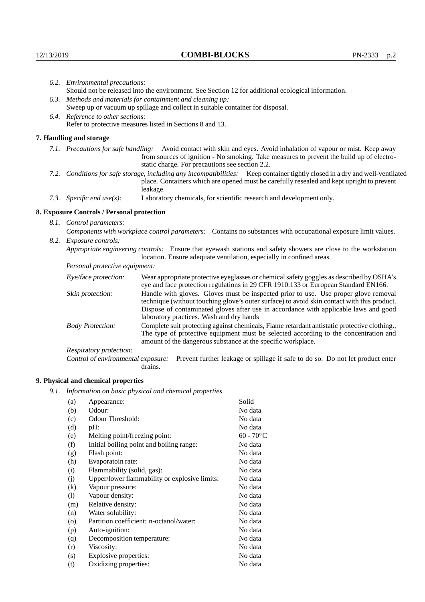|                                   | 6.2. Environmental precautions:                                                                                                                                                                                                                                    |                                                                                                                                                                                                                                                                                                                        |  |  |  |
|-----------------------------------|--------------------------------------------------------------------------------------------------------------------------------------------------------------------------------------------------------------------------------------------------------------------|------------------------------------------------------------------------------------------------------------------------------------------------------------------------------------------------------------------------------------------------------------------------------------------------------------------------|--|--|--|
|                                   | Should not be released into the environment. See Section 12 for additional ecological information.                                                                                                                                                                 |                                                                                                                                                                                                                                                                                                                        |  |  |  |
|                                   |                                                                                                                                                                                                                                                                    | 6.3. Methods and materials for containment and cleaning up:                                                                                                                                                                                                                                                            |  |  |  |
|                                   | Sweep up or vacuum up spillage and collect in suitable container for disposal.                                                                                                                                                                                     |                                                                                                                                                                                                                                                                                                                        |  |  |  |
| 6.4. Reference to other sections: |                                                                                                                                                                                                                                                                    |                                                                                                                                                                                                                                                                                                                        |  |  |  |
|                                   |                                                                                                                                                                                                                                                                    | Refer to protective measures listed in Sections 8 and 13.                                                                                                                                                                                                                                                              |  |  |  |
|                                   | 7. Handling and storage                                                                                                                                                                                                                                            |                                                                                                                                                                                                                                                                                                                        |  |  |  |
|                                   | 7.1. Precautions for safe handling: Avoid contact with skin and eyes. Avoid inhalation of vapour or mist. Keep away<br>from sources of ignition - No smoking. Take measures to prevent the build up of electro-<br>static charge. For precautions see section 2.2. |                                                                                                                                                                                                                                                                                                                        |  |  |  |
|                                   |                                                                                                                                                                                                                                                                    | 7.2. Conditions for safe storage, including any incompatibilities: Keep container tightly closed in a dry and well-ventilated<br>place. Containers which are opened must be carefully resealed and kept upright to prevent<br>leakage.                                                                                 |  |  |  |
|                                   | 7.3. Specific end use(s):                                                                                                                                                                                                                                          | Laboratory chemicals, for scientific research and development only.                                                                                                                                                                                                                                                    |  |  |  |
|                                   | 8. Exposure Controls / Personal protection                                                                                                                                                                                                                         |                                                                                                                                                                                                                                                                                                                        |  |  |  |
| 8.1. Control parameters:          |                                                                                                                                                                                                                                                                    |                                                                                                                                                                                                                                                                                                                        |  |  |  |
|                                   | Components with workplace control parameters: Contains no substances with occupational exposure limit values.                                                                                                                                                      |                                                                                                                                                                                                                                                                                                                        |  |  |  |
|                                   | 8.2. Exposure controls:                                                                                                                                                                                                                                            |                                                                                                                                                                                                                                                                                                                        |  |  |  |
|                                   |                                                                                                                                                                                                                                                                    | Appropriate engineering controls: Ensure that eyewash stations and safety showers are close to the workstation<br>location. Ensure adequate ventilation, especially in confined areas.                                                                                                                                 |  |  |  |
|                                   | Personal protective equipment:                                                                                                                                                                                                                                     |                                                                                                                                                                                                                                                                                                                        |  |  |  |
|                                   | Eye/face protection:                                                                                                                                                                                                                                               | Wear appropriate protective eyeglasses or chemical safety goggles as described by OSHA's<br>eye and face protection regulations in 29 CFR 1910.133 or European Standard EN166.                                                                                                                                         |  |  |  |
|                                   | Skin protection:                                                                                                                                                                                                                                                   | Handle with gloves. Gloves must be inspected prior to use. Use proper glove removal<br>technique (without touching glove's outer surface) to avoid skin contact with this product.<br>Dispose of contaminated gloves after use in accordance with applicable laws and good<br>laboratory practices. Wash and dry hands |  |  |  |
|                                   | <b>Body Protection:</b>                                                                                                                                                                                                                                            | Complete suit protecting against chemicals, Flame retardant antistatic protective clothing.,<br>The type of protective equipment must be selected according to the concentration and<br>amount of the dangerous substance at the specific workplace.                                                                   |  |  |  |
|                                   | Respiratory protection:                                                                                                                                                                                                                                            |                                                                                                                                                                                                                                                                                                                        |  |  |  |

Control of environmental exposure: Prevent further leakage or spillage if safe to do so. Do not let product enter drains.

# **9. Physical and chemical properties**

*9.1. Information on basic physical and chemical properties*

| (a)       | Appearance:                                   | Solid        |
|-----------|-----------------------------------------------|--------------|
| (b)       | Odour:                                        | No data      |
| (c)       | Odour Threshold:                              | No data      |
| (d)       | $pH$ :                                        | No data      |
| (e)       | Melting point/freezing point:                 | $60 - 70$ °C |
| (f)       | Initial boiling point and boiling range:      | No data      |
| (g)       | Flash point:                                  | No data      |
| (h)       | Evaporatoin rate:                             | No data      |
| (i)       | Flammability (solid, gas):                    | No data      |
| (j)       | Upper/lower flammability or explosive limits: | No data      |
| $\rm(k)$  | Vapour pressure:                              | No data      |
| (1)       | Vapour density:                               | No data      |
| (m)       | Relative density:                             | No data      |
| (n)       | Water solubility:                             | No data      |
| $\rm (o)$ | Partition coefficient: n-octanol/water:       | No data      |
| (p)       | Auto-ignition:                                | No data      |
| (q)       | Decomposition temperature:                    | No data      |
| (r)       | Viscosity:                                    | No data      |
| (s)       | Explosive properties:                         | No data      |
| (t)       | Oxidizing properties:                         | No data      |